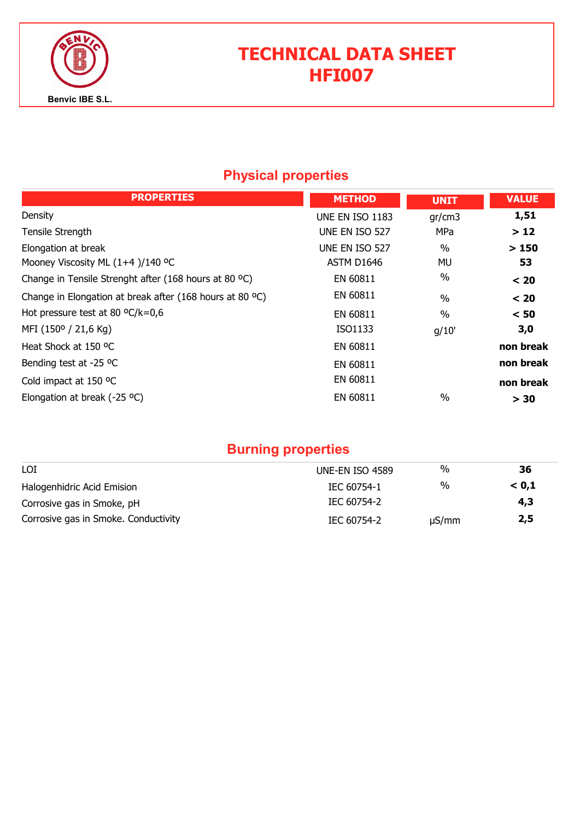

# TECHNICAL DATA SHEET HFI007

### Physical properties

| <b>PROPERTIES</b>                                        | <b>METHOD</b>   | <b>UNIT</b>   | <b>VALUE</b> |
|----------------------------------------------------------|-----------------|---------------|--------------|
| Density                                                  | UNE EN ISO 1183 | gr/cm3        | 1,51         |
| Tensile Strength                                         | UNE EN ISO 527  | MPa           | >12          |
| Elongation at break                                      | UNE EN ISO 527  | $\frac{0}{0}$ | >150         |
| Mooney Viscosity ML (1+4)/140 °C                         | ASTM D1646      | MU            | 53           |
| Change in Tensile Strenght after (168 hours at 80 °C)    | EN 60811        | $\%$          | < 20         |
| Change in Elongation at break after (168 hours at 80 °C) | EN 60811        | $\frac{0}{0}$ | < 20         |
| Hot pressure test at 80 $\textdegree C/k = 0.6$          | EN 60811        | $\%$          | < 50         |
| MFI (150° / 21,6 Kg)                                     | ISO1133         | g/10'         | 3,0          |
| Heat Shock at 150 °C                                     | EN 60811        |               | non break    |
| Bending test at -25 °C                                   | EN 60811        |               | non break    |
| Cold impact at 150 °C                                    | EN 60811        |               | non break    |
| Elongation at break (-25 $^{\circ}$ C)                   | EN 60811        | $\frac{0}{0}$ | > 30         |

## Burning properties

| LOI                                  | UNE-EN ISO 4589 | %          | 36    |
|--------------------------------------|-----------------|------------|-------|
| Halogenhidric Acid Emision           | IEC 60754-1     | %          | < 0.1 |
| Corrosive gas in Smoke, pH           | IEC 60754-2     |            | 4,3   |
| Corrosive gas in Smoke. Conductivity | IEC 60754-2     | $\mu S/mm$ | 2,5   |